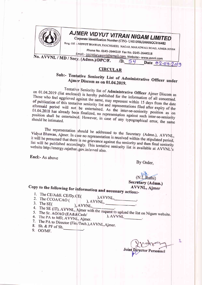

## AJMER VIDYUT VITRAN NIGAM LIMITED

Corporate Identification Number (CIN)- U40109RJ2000SGC016482 Resg. Off. :- VIDYUT BHAWAN, PANCHSHEEL NAGAR, MAKADWALI ROAD, AJMER-305004

Phone No. 0145-2644519 Fax No. 0145-2644518

Email:- secretaryavvnl@gmail.com, Website:- www.avvnl.com No. AVVNL / MD / Secy. (Admn.)/DPC/F. 54 Date 02.04.2019  $/D$ .

#### **CIRCULAR**

## Sub:- Tentative Seniority List of Administrative Officer under Ajmer Discom as on 01.04.2019.

Tentative Seniority list of Administrative Officer Ajmer Discom as on 01.04.2019 (list enclosed) is hereby published for the information of all concerned. Those who feel aggrieved against the same, may represent within 15 days from the date of publication of this tentative seniority list and representations filed after expiry of the aforesaid period will not be entertained. As the inter-se-seniority position as on 01.04.2018 has already been finalized, no representation against such inter-se-seniority position shall be entertained. However, in case of any typographical error, the same

The representation should be addressed to the Secretary (Admn.), AVVNL, Vidyut Bhawan, Ajmer. In case no representation is received within the stipulated period, it will be presumed that there is no grievance against the seniority and then final seniority list will be published accordingly. This tentative seniority list is available at AVVNL's website http://energy.rajathar.gov.in/avvnl also.

Encl:- As above

By Order,

# Secretary (Admn.)

### Copy to the following for information and necessary action:-**AVVNL, Ajmer**

- 1. The CE/Addl. CE/Dy.CE( 2. The CCOA/CAO (
- $AVVNL$  $AVVNL$ ,  $\overline{\phantom{a}}$
- 3. The SE $($ 
	- ), AVVNL,
- 4. The SE (IT), AVVNL, Ajmer with the request to upload the list on Nigam website. ), AVVNL
- 
- 6. The PA to MD, AVVNL, Ajmer.
- 7. The PA to Director (Fin/Tech.), AVVNL, Ajmer. 8. Sh. & PF of Sh.
- 9. OO/MF.

Joint ersonnel

ı